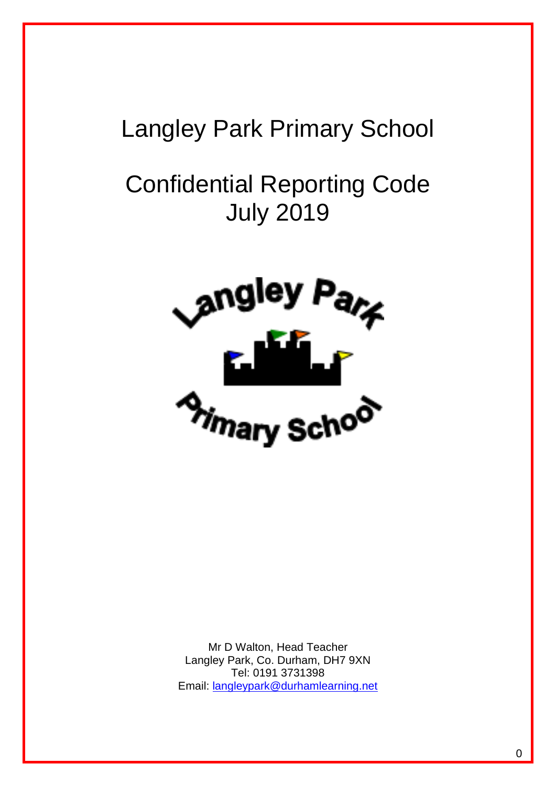# Langley Park Primary School

# Confidential Reporting Code July 2019



Mr D Walton, Head Teacher Langley Park, Co. Durham, DH7 9XN Tel: 0191 3731398 Email: [langleypark@durhamlearning.net](mailto:langleypark@durhamlearning.net)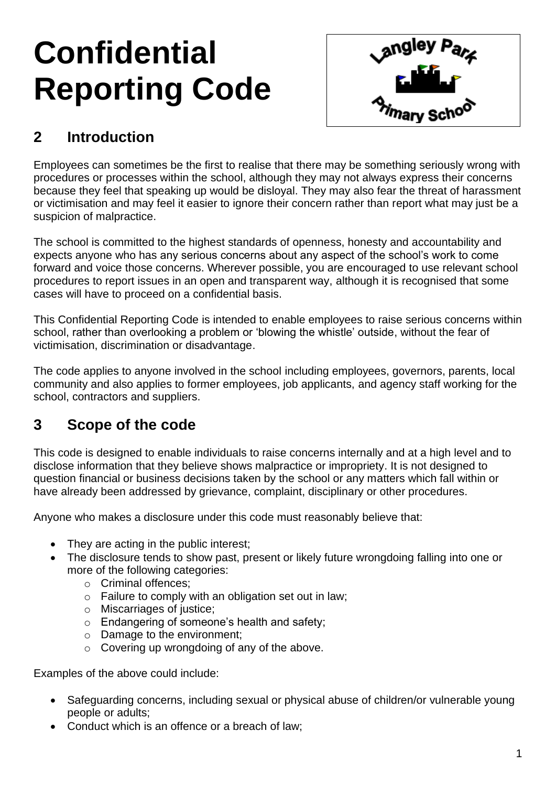# **Confidential Reporting Code**



# **2 Introduction**

Employees can sometimes be the first to realise that there may be something seriously wrong with procedures or processes within the school, although they may not always express their concerns because they feel that speaking up would be disloyal. They may also fear the threat of harassment or victimisation and may feel it easier to ignore their concern rather than report what may just be a suspicion of malpractice.

The school is committed to the highest standards of openness, honesty and accountability and expects anyone who has any serious concerns about any aspect of the school's work to come forward and voice those concerns. Wherever possible, you are encouraged to use relevant school procedures to report issues in an open and transparent way, although it is recognised that some cases will have to proceed on a confidential basis.

This Confidential Reporting Code is intended to enable employees to raise serious concerns within school, rather than overlooking a problem or 'blowing the whistle' outside, without the fear of victimisation, discrimination or disadvantage.

The code applies to anyone involved in the school including employees, governors, parents, local community and also applies to former employees, job applicants, and agency staff working for the school, contractors and suppliers.

## **3 Scope of the code**

This code is designed to enable individuals to raise concerns internally and at a high level and to disclose information that they believe shows malpractice or impropriety. It is not designed to question financial or business decisions taken by the school or any matters which fall within or have already been addressed by grievance, complaint, disciplinary or other procedures.

Anyone who makes a disclosure under this code must reasonably believe that:

- They are acting in the public interest;
- The disclosure tends to show past, present or likely future wrongdoing falling into one or more of the following categories:
	- o Criminal offences;
	- o Failure to comply with an obligation set out in law;
	- o Miscarriages of justice;
	- o Endangering of someone's health and safety;
	- o Damage to the environment;
	- o Covering up wrongdoing of any of the above.

Examples of the above could include:

- Safeguarding concerns, including sexual or physical abuse of children/or vulnerable young people or adults;
- Conduct which is an offence or a breach of law;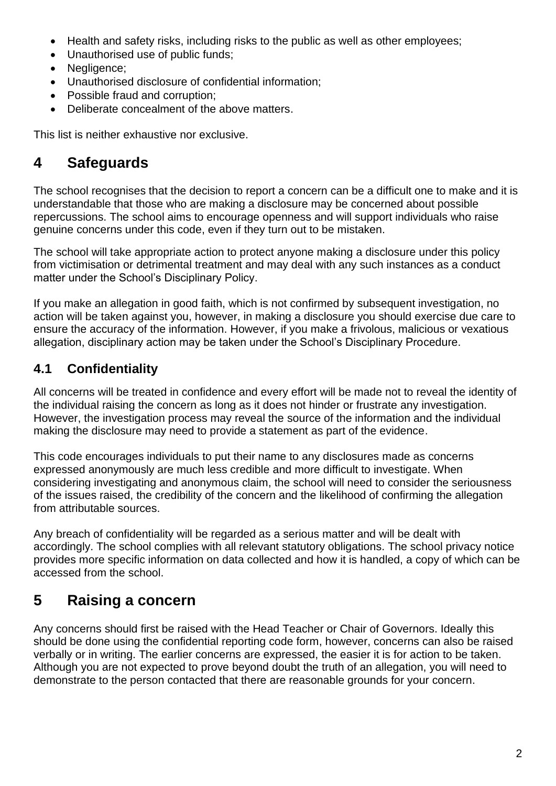- Health and safety risks, including risks to the public as well as other employees;
- Unauthorised use of public funds;
- Negligence;
- Unauthorised disclosure of confidential information;
- Possible fraud and corruption;
- Deliberate concealment of the above matters.

This list is neither exhaustive nor exclusive.

## **4 Safeguards**

The school recognises that the decision to report a concern can be a difficult one to make and it is understandable that those who are making a disclosure may be concerned about possible repercussions. The school aims to encourage openness and will support individuals who raise genuine concerns under this code, even if they turn out to be mistaken.

The school will take appropriate action to protect anyone making a disclosure under this policy from victimisation or detrimental treatment and may deal with any such instances as a conduct matter under the School's Disciplinary Policy.

If you make an allegation in good faith, which is not confirmed by subsequent investigation, no action will be taken against you, however, in making a disclosure you should exercise due care to ensure the accuracy of the information. However, if you make a frivolous, malicious or vexatious allegation, disciplinary action may be taken under the School's Disciplinary Procedure.

#### **4.1 Confidentiality**

All concerns will be treated in confidence and every effort will be made not to reveal the identity of the individual raising the concern as long as it does not hinder or frustrate any investigation. However, the investigation process may reveal the source of the information and the individual making the disclosure may need to provide a statement as part of the evidence.

This code encourages individuals to put their name to any disclosures made as concerns expressed anonymously are much less credible and more difficult to investigate. When considering investigating and anonymous claim, the school will need to consider the seriousness of the issues raised, the credibility of the concern and the likelihood of confirming the allegation from attributable sources.

Any breach of confidentiality will be regarded as a serious matter and will be dealt with accordingly. The school complies with all relevant statutory obligations. The school privacy notice provides more specific information on data collected and how it is handled, a copy of which can be accessed from the school.

# **5 Raising a concern**

Any concerns should first be raised with the Head Teacher or Chair of Governors. Ideally this should be done using the confidential reporting code form, however, concerns can also be raised verbally or in writing. The earlier concerns are expressed, the easier it is for action to be taken. Although you are not expected to prove beyond doubt the truth of an allegation, you will need to demonstrate to the person contacted that there are reasonable grounds for your concern.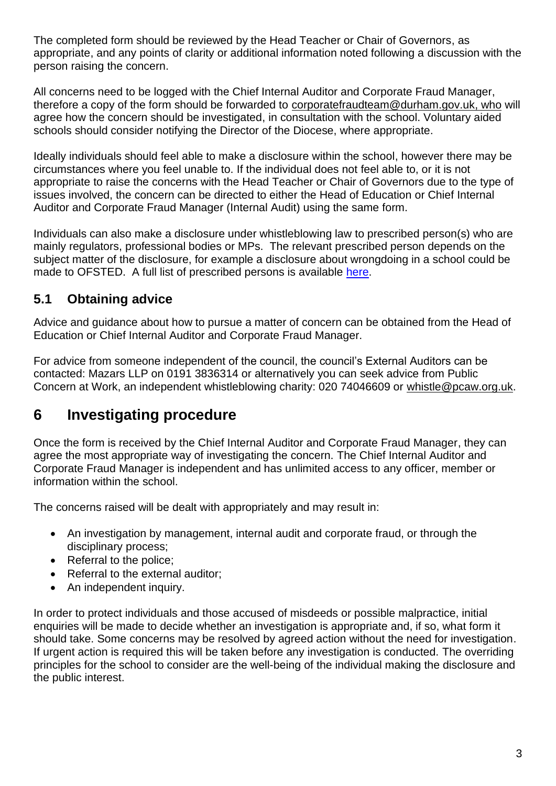The completed form should be reviewed by the Head Teacher or Chair of Governors, as appropriate, and any points of clarity or additional information noted following a discussion with the person raising the concern.

All concerns need to be logged with the Chief Internal Auditor and Corporate Fraud Manager, therefore a copy of the form should be forwarded to [corporatefraudteam@durham.gov.uk,](mailto:corporatefraudteam@durham.gov.uk) who will agree how the concern should be investigated, in consultation with the school. Voluntary aided schools should consider notifying the Director of the Diocese, where appropriate.

Ideally individuals should feel able to make a disclosure within the school, however there may be circumstances where you feel unable to. If the individual does not feel able to, or it is not appropriate to raise the concerns with the Head Teacher or Chair of Governors due to the type of issues involved, the concern can be directed to either the Head of Education or Chief Internal Auditor and Corporate Fraud Manager (Internal Audit) using the same form.

Individuals can also make a disclosure under whistleblowing law to prescribed person(s) who are mainly regulators, professional bodies or MPs. The relevant prescribed person depends on the subject matter of the disclosure, for example a disclosure about wrongdoing in a school could be made to OFSTED. A full list of prescribed persons is available [here.](https://www.gov.uk/government/publications/blowing-the-whistle-list-of-prescribed-people-and-bodies--2)

#### **5.1 Obtaining advice**

Advice and guidance about how to pursue a matter of concern can be obtained from the Head of Education or Chief Internal Auditor and Corporate Fraud Manager.

For advice from someone independent of the council, the council's External Auditors can be contacted: Mazars LLP on 0191 3836314 or alternatively you can seek advice from Public Concern at Work, an independent whistleblowing charity: 020 74046609 or [whistle@pcaw.org.uk.](mailto:whistle@pcaw.org.uk)

### **6 Investigating procedure**

Once the form is received by the Chief Internal Auditor and Corporate Fraud Manager, they can agree the most appropriate way of investigating the concern. The Chief Internal Auditor and Corporate Fraud Manager is independent and has unlimited access to any officer, member or information within the school.

The concerns raised will be dealt with appropriately and may result in:

- An investigation by management, internal audit and corporate fraud, or through the disciplinary process;
- Referral to the police:
- Referral to the external auditor;
- An independent inquiry.

In order to protect individuals and those accused of misdeeds or possible malpractice, initial enquiries will be made to decide whether an investigation is appropriate and, if so, what form it should take. Some concerns may be resolved by agreed action without the need for investigation. If urgent action is required this will be taken before any investigation is conducted. The overriding principles for the school to consider are the well-being of the individual making the disclosure and the public interest.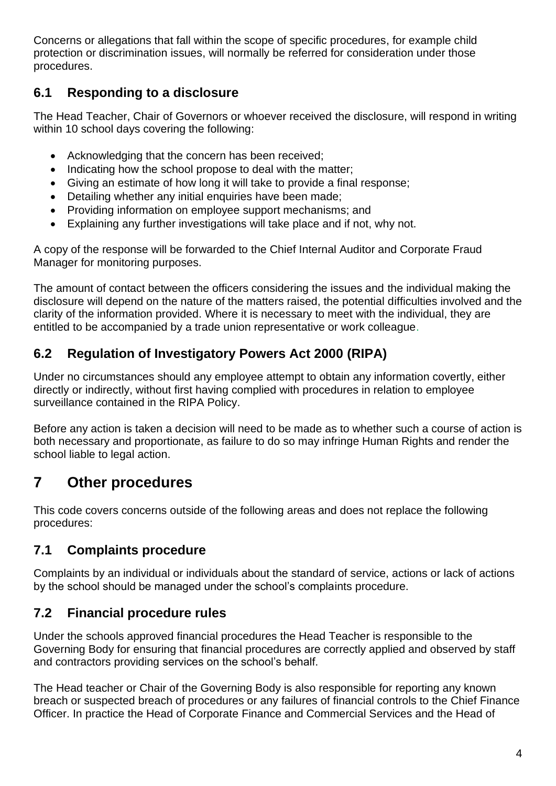Concerns or allegations that fall within the scope of specific procedures, for example child protection or discrimination issues, will normally be referred for consideration under those procedures.

#### **6.1 Responding to a disclosure**

The Head Teacher, Chair of Governors or whoever received the disclosure, will respond in writing within 10 school days covering the following:

- Acknowledging that the concern has been received;
- Indicating how the school propose to deal with the matter:
- Giving an estimate of how long it will take to provide a final response;
- Detailing whether any initial enquiries have been made;
- Providing information on employee support mechanisms; and
- Explaining any further investigations will take place and if not, why not.

A copy of the response will be forwarded to the Chief Internal Auditor and Corporate Fraud Manager for monitoring purposes.

The amount of contact between the officers considering the issues and the individual making the disclosure will depend on the nature of the matters raised, the potential difficulties involved and the clarity of the information provided. Where it is necessary to meet with the individual, they are entitled to be accompanied by a trade union representative or work colleague.

### **6.2 Regulation of Investigatory Powers Act 2000 (RIPA)**

Under no circumstances should any employee attempt to obtain any information covertly, either directly or indirectly, without first having complied with procedures in relation to employee surveillance contained in the RIPA Policy.

Before any action is taken a decision will need to be made as to whether such a course of action is both necessary and proportionate, as failure to do so may infringe Human Rights and render the school liable to legal action.

# **7 Other procedures**

This code covers concerns outside of the following areas and does not replace the following procedures:

### **7.1 Complaints procedure**

Complaints by an individual or individuals about the standard of service, actions or lack of actions by the school should be managed under the school's complaints procedure.

#### **7.2 Financial procedure rules**

Under the schools approved financial procedures the Head Teacher is responsible to the Governing Body for ensuring that financial procedures are correctly applied and observed by staff and contractors providing services on the school's behalf.

The Head teacher or Chair of the Governing Body is also responsible for reporting any known breach or suspected breach of procedures or any failures of financial controls to the Chief Finance Officer. In practice the Head of Corporate Finance and Commercial Services and the Head of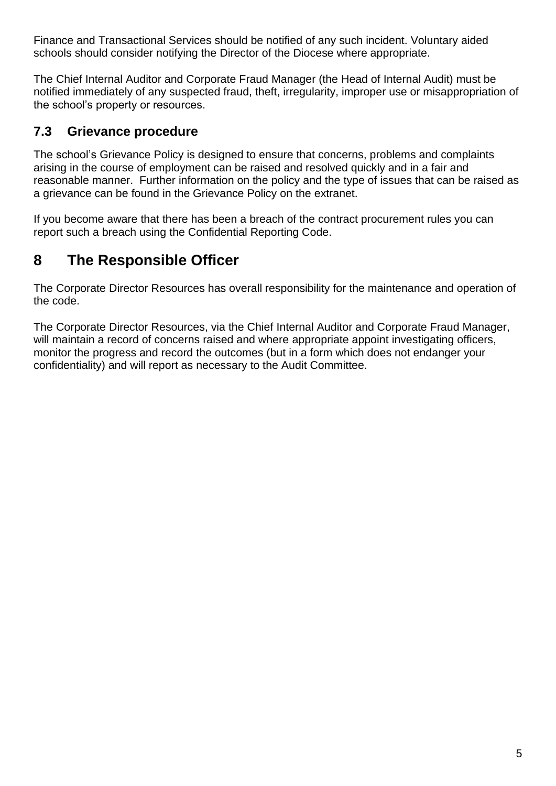Finance and Transactional Services should be notified of any such incident. Voluntary aided schools should consider notifying the Director of the Diocese where appropriate.

The Chief Internal Auditor and Corporate Fraud Manager (the Head of Internal Audit) must be notified immediately of any suspected fraud, theft, irregularity, improper use or misappropriation of the school's property or resources.

#### **7.3 Grievance procedure**

The school's Grievance Policy is designed to ensure that concerns, problems and complaints arising in the course of employment can be raised and resolved quickly and in a fair and reasonable manner. Further information on the policy and the type of issues that can be raised as a grievance can be found in the Grievance Policy on the extranet.

If you become aware that there has been a breach of the contract procurement rules you can report such a breach using the Confidential Reporting Code.

# **8 The Responsible Officer**

The Corporate Director Resources has overall responsibility for the maintenance and operation of the code.

The Corporate Director Resources, via the Chief Internal Auditor and Corporate Fraud Manager, will maintain a record of concerns raised and where appropriate appoint investigating officers, monitor the progress and record the outcomes (but in a form which does not endanger your confidentiality) and will report as necessary to the Audit Committee.